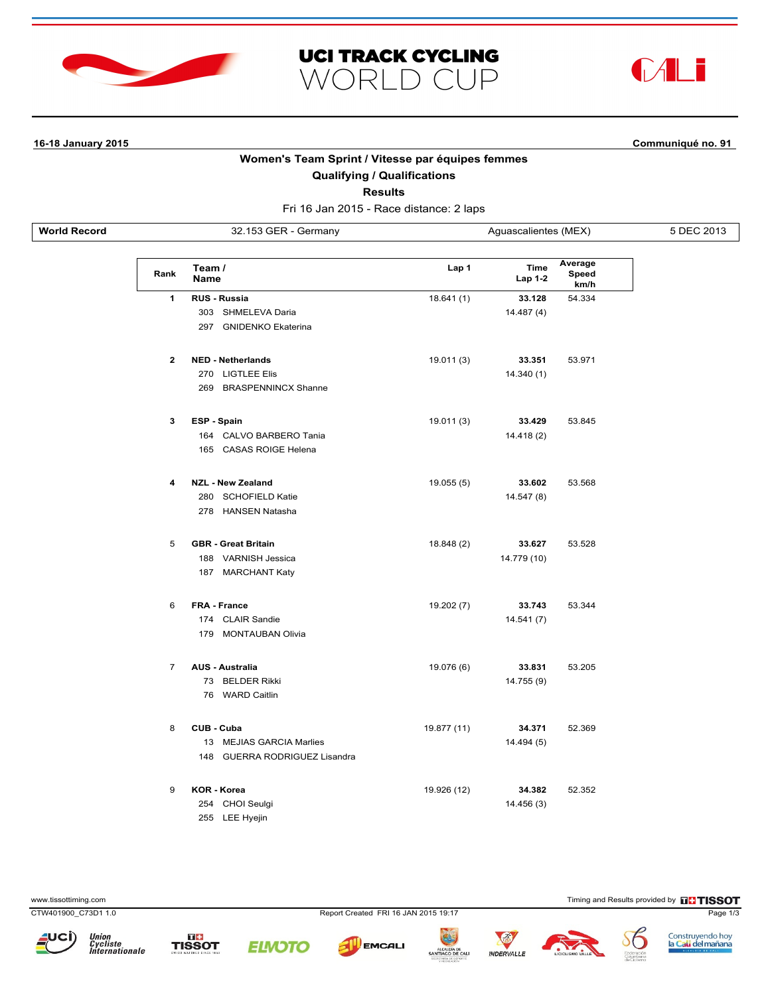



**16-18 January 2015 Communiqué no. 91**

# **Women's Team Sprint / Vitesse par équipes femmes**

**UCI TRACK CYCLING** 

WORLD CUP

**Qualifying / Qualifications**

**Results**

Fri 16 Jan 2015 - Race distance: 2 laps

**World Record** 32.153 GER - Germany Aguascalientes (MEX) 5 DEC 2013

| Rank           | Team /<br><b>Name</b>              | Lap 1       | <b>Time</b><br>Lap 1-2 | Average<br>Speed<br>km/h |
|----------------|------------------------------------|-------------|------------------------|--------------------------|
| 1              | <b>RUS - Russia</b>                | 18.641 (1)  | 33.128                 | 54.334                   |
|                | 303<br>SHMELEVA Daria              |             | 14.487 (4)             |                          |
|                | 297<br><b>GNIDENKO Ekaterina</b>   |             |                        |                          |
| $\mathbf{2}$   | <b>NED - Netherlands</b>           | 19.011 (3)  | 33.351                 | 53.971                   |
|                | 270<br><b>LIGTLEE Elis</b>         |             | 14.340 (1)             |                          |
|                | <b>BRASPENNINCX Shanne</b><br>269  |             |                        |                          |
| 3              | ESP - Spain                        | 19.011 (3)  | 33.429                 | 53.845                   |
|                | 164 CALVO BARBERO Tania            |             | 14.418 (2)             |                          |
|                | 165 CASAS ROIGE Helena             |             |                        |                          |
| 4              | <b>NZL - New Zealand</b>           | 19.055(5)   | 33.602                 | 53.568                   |
|                | 280<br><b>SCHOFIELD Katie</b>      |             | 14.547 (8)             |                          |
|                | 278 HANSEN Natasha                 |             |                        |                          |
| 5              | <b>GBR - Great Britain</b>         | 18.848 (2)  | 33.627                 | 53.528                   |
|                | VARNISH Jessica<br>188             |             | 14.779 (10)            |                          |
|                | 187<br><b>MARCHANT Katy</b>        |             |                        |                          |
| 6              | <b>FRA - France</b>                | 19.202 (7)  | 33.743                 | 53.344                   |
|                | 174 CLAIR Sandie                   |             | 14.541 (7)             |                          |
|                | 179<br><b>MONTAUBAN Olivia</b>     |             |                        |                          |
| $\overline{7}$ | <b>AUS - Australia</b>             | 19.076 (6)  | 33.831                 | 53.205                   |
|                | 73<br><b>BELDER Rikki</b>          |             | 14.755 (9)             |                          |
|                | 76<br><b>WARD Caitlin</b>          |             |                        |                          |
| 8              | CUB - Cuba                         | 19.877 (11) | 34.371                 | 52.369                   |
|                | 13<br><b>MEJIAS GARCIA Marlies</b> |             | 14.494 (5)             |                          |
|                | 148 GUERRA RODRIGUEZ Lisandra      |             |                        |                          |
| 9              | <b>KOR - Korea</b>                 | 19.926 (12) | 34.382                 | 52.352                   |
|                | 254 CHOI Seulgi                    |             | 14.456 (3)             |                          |
|                | 255<br><b>LEE Hyejin</b>           |             |                        |                          |

www.tissottiming.com **Timing and Results provided by FITISSOT** 

CTW401900\_C73D1 1.0 Report Created FRI 16 JAN 2015 19:17 Page 1/3











INDERVALLE **GO DE CAL** 



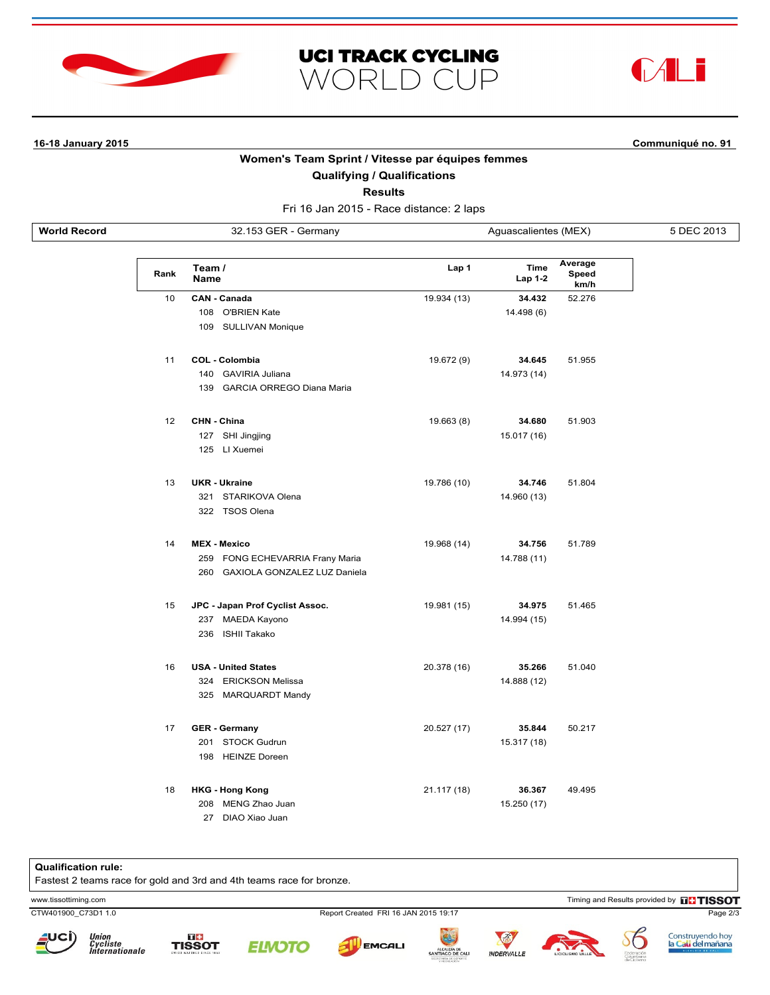



## **16-18 January 2015 Communiqué no. 91**

# **Women's Team Sprint / Vitesse par équipes femmes**

**UCI TRACK CYCLING** 

**WORLD CUP** 

**Qualifying / Qualifications**

**Results**

Fri 16 Jan 2015 - Race distance: 2 laps

**World Record** 32.153 GER - Germany Aguascalientes (MEX) 5 DEC 2013

| Rank | Team /<br><b>Name</b>            | Lap 1       | <b>Time</b><br><b>Lap 1-2</b> | Average<br>Speed<br>km/h |
|------|----------------------------------|-------------|-------------------------------|--------------------------|
| 10   | <b>CAN - Canada</b>              | 19.934 (13) | 34.432                        | 52.276                   |
|      | 108 O'BRIEN Kate                 |             | 14.498 (6)                    |                          |
|      | 109 SULLIVAN Monique             |             |                               |                          |
| 11   | <b>COL - Colombia</b>            | 19.672 (9)  | 34.645                        | 51.955                   |
|      | 140 GAVIRIA Juliana              |             | 14.973 (14)                   |                          |
|      | 139 GARCIA ORREGO Diana Maria    |             |                               |                          |
| 12   | CHN - China                      | 19.663 (8)  | 34.680                        | 51.903                   |
|      | 127<br>SHI Jingjing              |             | 15.017 (16)                   |                          |
|      | 125 LI Xuemei                    |             |                               |                          |
| 13   | <b>UKR - Ukraine</b>             | 19.786 (10) | 34.746                        | 51.804                   |
|      | 321 STARIKOVA Olena              |             | 14.960 (13)                   |                          |
|      | 322 TSOS Olena                   |             |                               |                          |
| 14   | <b>MEX - Mexico</b>              | 19.968 (14) | 34.756                        | 51.789                   |
|      | 259 FONG ECHEVARRIA Frany Maria  |             | 14.788 (11)                   |                          |
|      | 260 GAXIOLA GONZALEZ LUZ Daniela |             |                               |                          |
| 15   | JPC - Japan Prof Cyclist Assoc.  | 19.981 (15) | 34.975                        | 51.465                   |
|      | 237 MAEDA Kayono                 |             | 14.994 (15)                   |                          |
|      | 236 ISHII Takako                 |             |                               |                          |
| 16   | <b>USA - United States</b>       | 20.378 (16) | 35.266                        | 51.040                   |
|      | 324 ERICKSON Melissa             |             | 14.888 (12)                   |                          |
|      | 325 MARQUARDT Mandy              |             |                               |                          |
| 17   | <b>GER - Germany</b>             | 20.527 (17) | 35.844                        | 50.217                   |
|      | 201 STOCK Gudrun                 |             | 15.317 (18)                   |                          |
|      | 198 HEINZE Doreen                |             |                               |                          |
| 18   | <b>HKG - Hong Kong</b>           | 21.117 (18) | 36.367                        | 49.495                   |
|      | 208 MENG Zhao Juan               |             | 15.250 (17)                   |                          |
|      | 27<br>DIAO Xiao Juan             |             |                               |                          |

### **Qualification rule:**

Fastest 2 teams race for gold and 3rd and 4th teams race for bronze.

www.tissottiming.com **EXECUTES CONTEXT CONTEXT** Timing and Results provided by **EXECUTES CONTEXT AND RESULTS SO TIMING** 

Union<br>Cycliste<br>Internationale





CTW401900\_C73D1 1.0 Report Created FRI 16 JAN 2015 19:17 Page 2/3

**EMCALI** 





Construyendo hoy<br><mark>la Cali del mañana</mark>